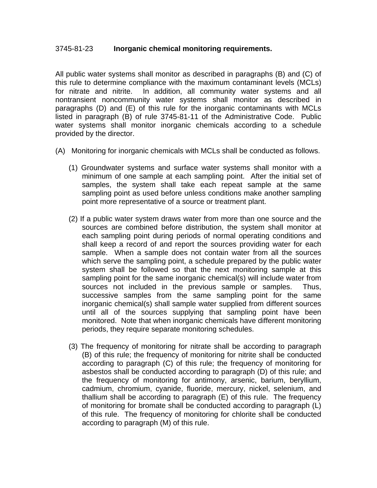## 3745-81-23 **Inorganic chemical monitoring requirements.**

All public water systems shall monitor as described in paragraphs (B) and (C) of this rule to determine compliance with the maximum contaminant levels (MCLs) for nitrate and nitrite. In addition, all community water systems and all nontransient noncommunity water systems shall monitor as described in paragraphs (D) and (E) of this rule for the inorganic contaminants with MCLs listed in paragraph (B) of rule 3745-81-11 of the Administrative Code. Public water systems shall monitor inorganic chemicals according to a schedule provided by the director.

- (A) Monitoring for inorganic chemicals with MCLs shall be conducted as follows.
	- (1) Groundwater systems and surface water systems shall monitor with a minimum of one sample at each sampling point. After the initial set of samples, the system shall take each repeat sample at the same sampling point as used before unless conditions make another sampling point more representative of a source or treatment plant.
	- (2) If a public water system draws water from more than one source and the sources are combined before distribution, the system shall monitor at each sampling point during periods of normal operating conditions and shall keep a record of and report the sources providing water for each sample. When a sample does not contain water from all the sources which serve the sampling point, a schedule prepared by the public water system shall be followed so that the next monitoring sample at this sampling point for the same inorganic chemical(s) will include water from sources not included in the previous sample or samples. Thus, successive samples from the same sampling point for the same inorganic chemical(s) shall sample water supplied from different sources until all of the sources supplying that sampling point have been monitored. Note that when inorganic chemicals have different monitoring periods, they require separate monitoring schedules.
	- (3) The frequency of monitoring for nitrate shall be according to paragraph (B) of this rule; the frequency of monitoring for nitrite shall be conducted according to paragraph (C) of this rule; the frequency of monitoring for asbestos shall be conducted according to paragraph (D) of this rule; and the frequency of monitoring for antimony, arsenic, barium, beryllium, cadmium, chromium, cyanide, fluoride, mercury, nickel, selenium, and thallium shall be according to paragraph (E) of this rule. The frequency of monitoring for bromate shall be conducted according to paragraph (L) of this rule. The frequency of monitoring for chlorite shall be conducted according to paragraph (M) of this rule.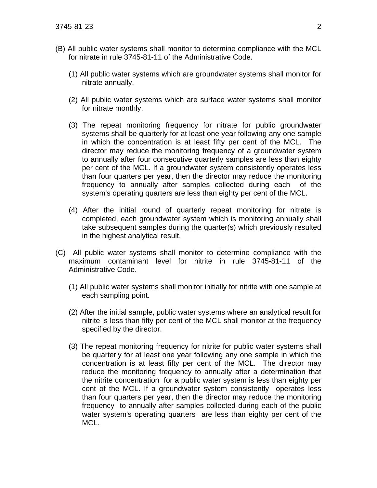- (B) All public water systems shall monitor to determine compliance with the MCL for nitrate in rule 3745-81-11 of the Administrative Code.
	- (1) All public water systems which are groundwater systems shall monitor for nitrate annually.
	- (2) All public water systems which are surface water systems shall monitor for nitrate monthly.
	- (3) The repeat monitoring frequency for nitrate for public groundwater systems shall be quarterly for at least one year following any one sample in which the concentration is at least fifty per cent of the MCL. The director may reduce the monitoring frequency of a groundwater system to annually after four consecutive quarterly samples are less than eighty per cent of the MCL. If a groundwater system consistently operates less than four quarters per year, then the director may reduce the monitoring frequency to annually after samples collected during each of the system's operating quarters are less than eighty per cent of the MCL.
	- (4) After the initial round of quarterly repeat monitoring for nitrate is completed, each groundwater system which is monitoring annually shall take subsequent samples during the quarter(s) which previously resulted in the highest analytical result.
- (C) All public water systems shall monitor to determine compliance with the maximum contaminant level for nitrite in rule 3745-81-11 of the Administrative Code.
	- (1) All public water systems shall monitor initially for nitrite with one sample at each sampling point.
	- (2) After the initial sample, public water systems where an analytical result for nitrite is less than fifty per cent of the MCL shall monitor at the frequency specified by the director.
	- (3) The repeat monitoring frequency for nitrite for public water systems shall be quarterly for at least one year following any one sample in which the concentration is at least fifty per cent of the MCL. The director may reduce the monitoring frequency to annually after a determination that the nitrite concentration for a public water system is less than eighty per cent of the MCL. If a groundwater system consistently operates less than four quarters per year, then the director may reduce the monitoring frequency to annually after samples collected during each of the public water system's operating quarters are less than eighty per cent of the MCL.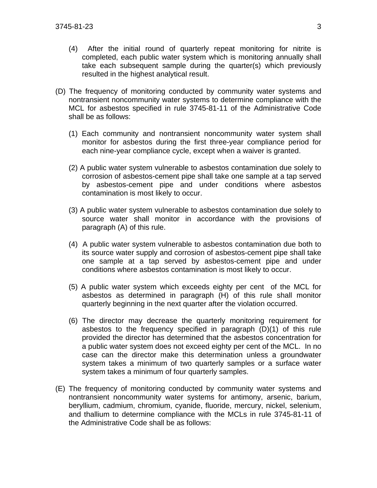- (4) After the initial round of quarterly repeat monitoring for nitrite is completed, each public water system which is monitoring annually shall take each subsequent sample during the quarter(s) which previously resulted in the highest analytical result.
- (D) The frequency of monitoring conducted by community water systems and nontransient noncommunity water systems to determine compliance with the MCL for asbestos specified in rule 3745-81-11 of the Administrative Code shall be as follows:
	- (1) Each community and nontransient noncommunity water system shall monitor for asbestos during the first three-year compliance period for each nine-year compliance cycle, except when a waiver is granted.
	- (2) A public water system vulnerable to asbestos contamination due solely to corrosion of asbestos-cement pipe shall take one sample at a tap served by asbestos-cement pipe and under conditions where asbestos contamination is most likely to occur.
	- (3) A public water system vulnerable to asbestos contamination due solely to source water shall monitor in accordance with the provisions of paragraph (A) of this rule.
	- (4) A public water system vulnerable to asbestos contamination due both to its source water supply and corrosion of asbestos-cement pipe shall take one sample at a tap served by asbestos-cement pipe and under conditions where asbestos contamination is most likely to occur.
	- (5) A public water system which exceeds eighty per cent of the MCL for asbestos as determined in paragraph (H) of this rule shall monitor quarterly beginning in the next quarter after the violation occurred.
	- (6) The director may decrease the quarterly monitoring requirement for asbestos to the frequency specified in paragraph (D)(1) of this rule provided the director has determined that the asbestos concentration for a public water system does not exceed eighty per cent of the MCL. In no case can the director make this determination unless a groundwater system takes a minimum of two quarterly samples or a surface water system takes a minimum of four quarterly samples.
- (E) The frequency of monitoring conducted by community water systems and nontransient noncommunity water systems for antimony, arsenic, barium, beryllium, cadmium, chromium, cyanide, fluoride, mercury, nickel, selenium, and thallium to determine compliance with the MCLs in rule 3745-81-11 of the Administrative Code shall be as follows: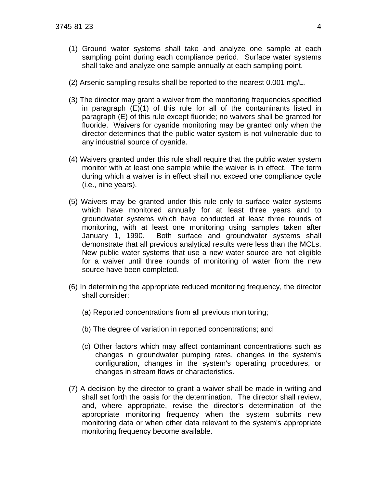- (1) Ground water systems shall take and analyze one sample at each sampling point during each compliance period. Surface water systems shall take and analyze one sample annually at each sampling point.
- (2) Arsenic sampling results shall be reported to the nearest 0.001 mg/L.
- (3) The director may grant a waiver from the monitoring frequencies specified in paragraph (E)(1) of this rule for all of the contaminants listed in paragraph (E) of this rule except fluoride; no waivers shall be granted for fluoride. Waivers for cyanide monitoring may be granted only when the director determines that the public water system is not vulnerable due to any industrial source of cyanide.
- (4) Waivers granted under this rule shall require that the public water system monitor with at least one sample while the waiver is in effect. The term during which a waiver is in effect shall not exceed one compliance cycle (i.e., nine years).
- (5) Waivers may be granted under this rule only to surface water systems which have monitored annually for at least three years and to groundwater systems which have conducted at least three rounds of monitoring, with at least one monitoring using samples taken after January 1, 1990. Both surface and groundwater systems shall demonstrate that all previous analytical results were less than the MCLs. New public water systems that use a new water source are not eligible for a waiver until three rounds of monitoring of water from the new source have been completed.
- (6) In determining the appropriate reduced monitoring frequency, the director shall consider:
	- (a) Reported concentrations from all previous monitoring;
	- (b) The degree of variation in reported concentrations; and
	- (c) Other factors which may affect contaminant concentrations such as changes in groundwater pumping rates, changes in the system's configuration, changes in the system's operating procedures, or changes in stream flows or characteristics.
- (7) A decision by the director to grant a waiver shall be made in writing and shall set forth the basis for the determination. The director shall review, and, where appropriate, revise the director's determination of the appropriate monitoring frequency when the system submits new monitoring data or when other data relevant to the system's appropriate monitoring frequency become available.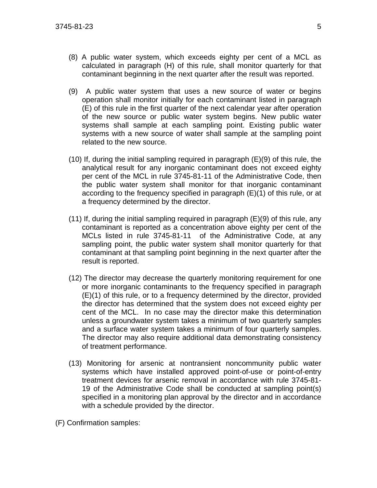- (8) A public water system, which exceeds eighty per cent of a MCL as calculated in paragraph (H) of this rule, shall monitor quarterly for that contaminant beginning in the next quarter after the result was reported.
- (9) A public water system that uses a new source of water or begins operation shall monitor initially for each contaminant listed in paragraph (E) of this rule in the first quarter of the next calendar year after operation of the new source or public water system begins. New public water systems shall sample at each sampling point. Existing public water systems with a new source of water shall sample at the sampling point related to the new source.
- (10) If, during the initial sampling required in paragraph (E)(9) of this rule, the analytical result for any inorganic contaminant does not exceed eighty per cent of the MCL in rule 3745-81-11 of the Administrative Code, then the public water system shall monitor for that inorganic contaminant according to the frequency specified in paragraph (E)(1) of this rule, or at a frequency determined by the director.
- $(11)$  If, during the initial sampling required in paragraph  $(E)(9)$  of this rule, any contaminant is reported as a concentration above eighty per cent of the MCLs listed in rule 3745-81-11 of the Administrative Code, at any sampling point, the public water system shall monitor quarterly for that contaminant at that sampling point beginning in the next quarter after the result is reported.
- (12) The director may decrease the quarterly monitoring requirement for one or more inorganic contaminants to the frequency specified in paragraph (E)(1) of this rule, or to a frequency determined by the director, provided the director has determined that the system does not exceed eighty per cent of the MCL. In no case may the director make this determination unless a groundwater system takes a minimum of two quarterly samples and a surface water system takes a minimum of four quarterly samples. The director may also require additional data demonstrating consistency of treatment performance.
- (13) Monitoring for arsenic at nontransient noncommunity public water systems which have installed approved point-of-use or point-of-entry treatment devices for arsenic removal in accordance with rule 3745-81- 19 of the Administrative Code shall be conducted at sampling point(s) specified in a monitoring plan approval by the director and in accordance with a schedule provided by the director.
- (F) Confirmation samples: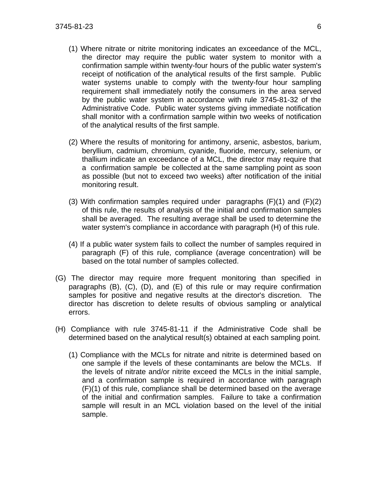- (1) Where nitrate or nitrite monitoring indicates an exceedance of the MCL, the director may require the public water system to monitor with a confirmation sample within twenty-four hours of the public water system's receipt of notification of the analytical results of the first sample. Public water systems unable to comply with the twenty-four hour sampling requirement shall immediately notify the consumers in the area served by the public water system in accordance with rule 3745-81-32 of the Administrative Code. Public water systems giving immediate notification shall monitor with a confirmation sample within two weeks of notification of the analytical results of the first sample.
- (2) Where the results of monitoring for antimony, arsenic, asbestos, barium, beryllium, cadmium, chromium, cyanide, fluoride, mercury, selenium, or thallium indicate an exceedance of a MCL, the director may require that a confirmation sample be collected at the same sampling point as soon as possible (but not to exceed two weeks) after notification of the initial monitoring result.
- (3) With confirmation samples required under paragraphs  $(F)(1)$  and  $(F)(2)$ of this rule, the results of analysis of the initial and confirmation samples shall be averaged. The resulting average shall be used to determine the water system's compliance in accordance with paragraph (H) of this rule.
- (4) If a public water system fails to collect the number of samples required in paragraph (F) of this rule, compliance (average concentration) will be based on the total number of samples collected.
- (G) The director may require more frequent monitoring than specified in paragraphs (B), (C), (D), and (E) of this rule or may require confirmation samples for positive and negative results at the director's discretion. The director has discretion to delete results of obvious sampling or analytical errors.
- (H) Compliance with rule 3745-81-11 if the Administrative Code shall be determined based on the analytical result(s) obtained at each sampling point.
	- (1) Compliance with the MCLs for nitrate and nitrite is determined based on one sample if the levels of these contaminants are below the MCLs. If the levels of nitrate and/or nitrite exceed the MCLs in the initial sample, and a confirmation sample is required in accordance with paragraph (F)(1) of this rule, compliance shall be determined based on the average of the initial and confirmation samples. Failure to take a confirmation sample will result in an MCL violation based on the level of the initial sample.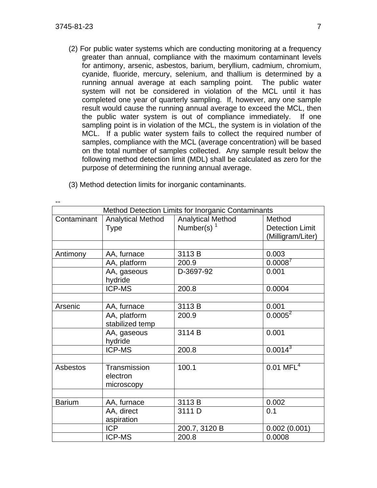(2) For public water systems which are conducting monitoring at a frequency greater than annual, compliance with the maximum contaminant levels for antimony, arsenic, asbestos, barium, beryllium, cadmium, chromium, cyanide, fluoride, mercury, selenium, and thallium is determined by a running annual average at each sampling point. The public water system will not be considered in violation of the MCL until it has completed one year of quarterly sampling. If, however, any one sample result would cause the running annual average to exceed the MCL, then the public water system is out of compliance immediately. If one sampling point is in violation of the MCL, the system is in violation of the MCL. If a public water system fails to collect the required number of samples, compliance with the MCL (average concentration) will be based on the total number of samples collected. Any sample result below the following method detection limit (MDL) shall be calculated as zero for the purpose of determining the running annual average.

|               | Method Detection Limits for Inorganic Contaminants |                          |                         |  |  |
|---------------|----------------------------------------------------|--------------------------|-------------------------|--|--|
| Contaminant   | <b>Analytical Method</b>                           | <b>Analytical Method</b> | Method                  |  |  |
|               | <b>Type</b>                                        | Number(s) $1$            | <b>Detection Limit</b>  |  |  |
|               |                                                    |                          | (Milligram/Liter)       |  |  |
|               |                                                    |                          |                         |  |  |
| Antimony      | AA, furnace                                        | 3113B                    | 0.003                   |  |  |
|               | AA, platform                                       | 200.9                    | $0.0008^{7}$            |  |  |
|               | AA, gaseous                                        | D-3697-92                | 0.001                   |  |  |
|               | hydride                                            |                          |                         |  |  |
|               | <b>ICP-MS</b>                                      | 200.8                    | 0.0004                  |  |  |
|               |                                                    |                          |                         |  |  |
| Arsenic       | AA, furnace                                        | 3113B                    | 0.001                   |  |  |
|               | AA, platform                                       | 200.9                    | $0.0005^2$              |  |  |
|               | stabilized temp                                    |                          |                         |  |  |
|               | AA, gaseous                                        | 3114 B                   | 0.001                   |  |  |
|               | hydride                                            |                          |                         |  |  |
|               | <b>ICP-MS</b>                                      | 200.8                    | $0.0014^{3}$            |  |  |
|               |                                                    |                          |                         |  |  |
| Asbestos      | Transmission                                       | 100.1                    | $0.01$ MFL <sup>4</sup> |  |  |
|               | electron                                           |                          |                         |  |  |
|               | microscopy                                         |                          |                         |  |  |
|               |                                                    |                          |                         |  |  |
| <b>Barium</b> | AA, furnace                                        | 3113B                    | 0.002                   |  |  |
|               | AA, direct                                         | 3111 D                   | 0.1                     |  |  |
|               | aspiration                                         |                          |                         |  |  |
|               | <b>ICP</b>                                         | 200.7, 3120 B            | 0.002(0.001)            |  |  |
|               | <b>ICP-MS</b>                                      | 200.8                    | 0.0008                  |  |  |

(3) Method detection limits for inorganic contaminants.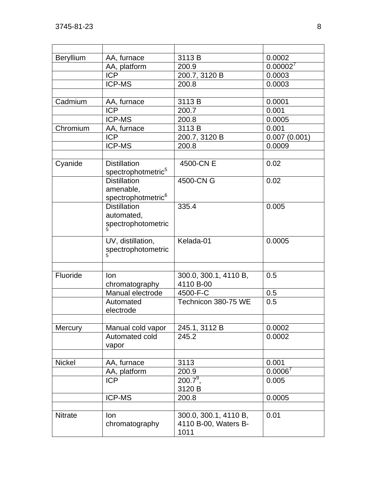| <b>Beryllium</b> | AA, furnace                                                        | 3113B                                                 | 0.0002       |
|------------------|--------------------------------------------------------------------|-------------------------------------------------------|--------------|
|                  | AA, platform                                                       | 200.9                                                 | 0.00002'     |
|                  | <b>ICP</b>                                                         | 200.7, 3120 B                                         | 0.0003       |
|                  | <b>ICP-MS</b>                                                      | 200.8                                                 | 0.0003       |
|                  |                                                                    |                                                       |              |
| Cadmium          | AA, furnace                                                        | 3113B                                                 | 0.0001       |
|                  | <b>ICP</b>                                                         | 200.7                                                 | 0.001        |
|                  | <b>ICP-MS</b>                                                      | 200.8                                                 | 0.0005       |
| Chromium         | AA, furnace                                                        | 3113B                                                 | 0.001        |
|                  | <b>ICP</b>                                                         | 200.7, 3120 B                                         | 0.007(0.001) |
|                  | <b>ICP-MS</b>                                                      | 200.8                                                 | 0.0009       |
|                  |                                                                    |                                                       |              |
| Cyanide          | <b>Distillation</b><br>spectrophotmetric <sup>5</sup>              | 4500-CN E                                             | 0.02         |
|                  | <b>Distillation</b><br>amenable,<br>spectrophotmetric <sup>6</sup> | 4500-CN G                                             | 0.02         |
|                  | <b>Distillation</b><br>automated,<br>spectrophotometric            | 335.4                                                 | 0.005        |
|                  | UV, distillation,<br>spectrophotometric                            | Kelada-01                                             | 0.0005       |
|                  |                                                                    |                                                       |              |
| Fluoride         | lon<br>chromatography                                              | 300.0, 300.1, 4110 B,<br>4110 B-00                    | 0.5          |
|                  | Manual electrode                                                   | 4500-F-C                                              | 0.5          |
|                  | Automated<br>electrode                                             | Technicon 380-75 WE                                   | 0.5          |
|                  |                                                                    |                                                       |              |
| Mercury          | Manual cold vapor                                                  | 245.1, 3112 B                                         | 0.0002       |
|                  | Automated cold<br>vapor                                            | 245.2                                                 | 0.0002       |
|                  |                                                                    |                                                       |              |
| <b>Nickel</b>    | AA, furnace                                                        | 3113                                                  | 0.001        |
|                  | AA, platform                                                       | 200.9                                                 | $0.0006^7$   |
|                  | <b>ICP</b>                                                         | $200.7^9$ ,<br>3120 B                                 | 0.005        |
|                  | <b>ICP-MS</b>                                                      | 200.8                                                 | 0.0005       |
| <b>Nitrate</b>   | lon<br>chromatography                                              | 300.0, 300.1, 4110 B,<br>4110 B-00, Waters B-<br>1011 | 0.01         |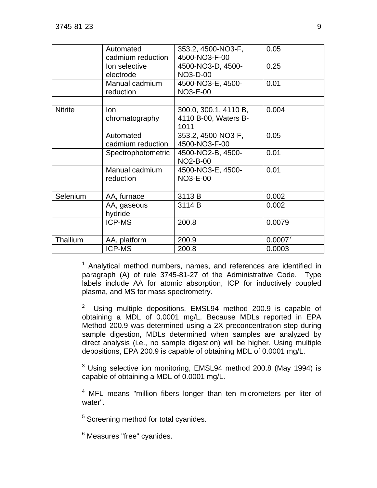|                | Automated          | 353.2, 4500-NO3-F,    | 0.05    |
|----------------|--------------------|-----------------------|---------|
|                | cadmium reduction  | 4500-NO3-F-00         |         |
|                | lon selective      | 4500-NO3-D, 4500-     | 0.25    |
|                | electrode          | NO3-D-00              |         |
|                | Manual cadmium     | 4500-NO3-E, 4500-     | 0.01    |
|                | reduction          | <b>NO3-E-00</b>       |         |
|                |                    |                       |         |
| <b>Nitrite</b> | lon                | 300.0, 300.1, 4110 B, | 0.004   |
|                | chromatography     | 4110 B-00, Waters B-  |         |
|                |                    | 1011                  |         |
|                | Automated          | 353.2, 4500-NO3-F,    | 0.05    |
|                | cadmium reduction  | 4500-NO3-F-00         |         |
|                | Spectrophotometric | 4500-NO2-B, 4500-     | 0.01    |
|                |                    | <b>NO2-B-00</b>       |         |
|                | Manual cadmium     | 4500-NO3-E, 4500-     | 0.01    |
|                | reduction          | <b>NO3-E-00</b>       |         |
|                |                    |                       |         |
| Selenium       | AA, furnace        | 3113 B                | 0.002   |
|                | AA, gaseous        | 3114 B                | 0.002   |
|                | hydride            |                       |         |
|                | <b>ICP-MS</b>      | 200.8                 | 0.0079  |
|                |                    |                       |         |
| Thallium       | AA, platform       | 200.9                 | 0.0007' |
|                | <b>ICP-MS</b>      | 200.8                 | 0.0003  |

<sup>1</sup> Analytical method numbers, names, and references are identified in paragraph (A) of rule 3745-81-27 of the Administrative Code. Type labels include AA for atomic absorption, ICP for inductively coupled plasma, and MS for mass spectrometry.

2 Using multiple depositions, EMSL94 method 200.9 is capable of obtaining a MDL of 0.0001 mg/L. Because MDLs reported in EPA Method 200.9 was determined using a 2X preconcentration step during sample digestion, MDLs determined when samples are analyzed by direct analysis (i.e., no sample digestion) will be higher. Using multiple depositions, EPA 200.9 is capable of obtaining MDL of 0.0001 mg/L.

 $3$  Using selective ion monitoring, EMSL94 method 200.8 (May 1994) is capable of obtaining a MDL of 0.0001 mg/L.

<sup>4</sup> MFL means "million fibers longer than ten micrometers per liter of water".

<sup>5</sup> Screening method for total cyanides.

<sup>6</sup> Measures "free" cyanides.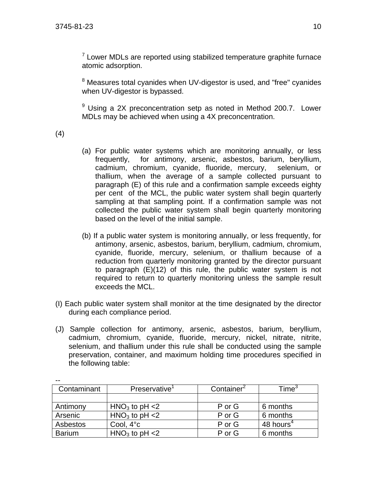$7$  Lower MDLs are reported using stabilized temperature graphite furnace atomic adsorption.

<sup>8</sup> Measures total cyanides when UV-digestor is used, and "free" cyanides when UV-digestor is bypassed.

 $9$  Using a 2X preconcentration setp as noted in Method 200.7. Lower MDLs may be achieved when using a 4X preconcentration.

(4)

- (a) For public water systems which are monitoring annually, or less frequently, for antimony, arsenic, asbestos, barium, beryllium, cadmium, chromium, cyanide, fluoride, mercury, selenium, or thallium, when the average of a sample collected pursuant to paragraph (E) of this rule and a confirmation sample exceeds eighty per cent of the MCL, the public water system shall begin quarterly sampling at that sampling point. If a confirmation sample was not collected the public water system shall begin quarterly monitoring based on the level of the initial sample.
- (b) If a public water system is monitoring annually, or less frequently, for antimony, arsenic, asbestos, barium, beryllium, cadmium, chromium, cyanide, fluoride, mercury, selenium, or thallium because of a reduction from quarterly monitoring granted by the director pursuant to paragraph (E)(12) of this rule, the public water system is not required to return to quarterly monitoring unless the sample result exceeds the MCL.
- (I) Each public water system shall monitor at the time designated by the director during each compliance period.
- (J) Sample collection for antimony, arsenic, asbestos, barium, beryllium, cadmium, chromium, cyanide, fluoride, mercury, nickel, nitrate, nitrite, selenium, and thallium under this rule shall be conducted using the sample preservation, container, and maximum holding time procedures specified in the following table:

| $ -$          |                           |                        |                       |
|---------------|---------------------------|------------------------|-----------------------|
| Contaminant   | Preservative <sup>1</sup> | Container <sup>2</sup> | $\mathsf{Time}^3$     |
|               |                           |                        |                       |
| Antimony      | $HNO3$ to pH <2           | P or G                 | 6 months              |
| Arsenic       | $HNO3$ to pH <2           | P or G                 | 6 months              |
| Asbestos      | Cool, $4^{\circ}c$        | P or G                 | 48 hours <sup>4</sup> |
| <b>Barium</b> | $HNO3$ to pH <2           | P or G                 | 6 months              |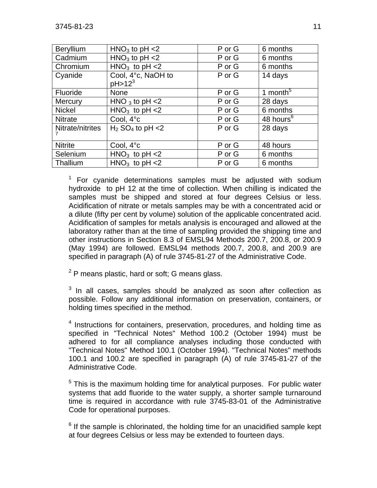| <b>Beryllium</b> | $HNO3$ to pH <2                            | P or G | 6 months              |
|------------------|--------------------------------------------|--------|-----------------------|
| Cadmium          | $HNO3$ to pH <2                            | P or G | 6 months              |
| Chromium         | $HNO3$ to pH <2                            | P or G | 6 months              |
| Cyanide          | Cool, 4°c, NaOH to<br>pH > 12 <sup>3</sup> | P or G | 14 days               |
| Fluoride         | <b>None</b>                                | P or G | 1 month <sup>5</sup>  |
|                  |                                            |        |                       |
| Mercury          | HNO $_3$ to pH $<$ 2                       | P or G | 28 days               |
| <b>Nickel</b>    | $HNO3$ to pH <2                            | P or G | 6 months              |
| <b>Nitrate</b>   | Cool, 4°c                                  | P or G | 48 hours <sup>6</sup> |
| Nitrate/nitrites | $H_2$ SO <sub>4</sub> to pH <2             | P or G | 28 days               |
| <b>Nitrite</b>   | Cool, 4°c                                  | P or G | 48 hours              |
| Selenium         | $HNO3$ to pH <2                            | P or G | 6 months              |
| Thallium         | $HNO3$ to pH <2                            | P or G | 6 months              |

 $1$  For cyanide determinations samples must be adjusted with sodium hydroxide to pH 12 at the time of collection. When chilling is indicated the samples must be shipped and stored at four degrees Celsius or less. Acidification of nitrate or metals samples may be with a concentrated acid or a dilute (fifty per cent by volume) solution of the applicable concentrated acid. Acidification of samples for metals analysis is encouraged and allowed at the laboratory rather than at the time of sampling provided the shipping time and other instructions in Section 8.3 of EMSL94 Methods 200.7, 200.8, or 200.9 (May 1994) are followed. EMSL94 methods 200.7, 200.8, and 200.9 are specified in paragraph (A) of rule 3745-81-27 of the Administrative Code.

 $2$  P means plastic, hard or soft; G means glass.

 $3$  In all cases, samples should be analyzed as soon after collection as possible. Follow any additional information on preservation, containers, or holding times specified in the method.

<sup>4</sup> Instructions for containers, preservation, procedures, and holding time as specified in "Technical Notes" Method 100.2 (October 1994) must be adhered to for all compliance analyses including those conducted with "Technical Notes" Method 100.1 (October 1994). "Technical Notes" methods 100.1 and 100.2 are specified in paragraph (A) of rule 3745-81-27 of the Administrative Code.

 $5$  This is the maximum holding time for analytical purposes. For public water systems that add fluoride to the water supply, a shorter sample turnaround time is required in accordance with rule 3745-83-01 of the Administrative Code for operational purposes.

 $6$  If the sample is chlorinated, the holding time for an unacidified sample kept at four degrees Celsius or less may be extended to fourteen days.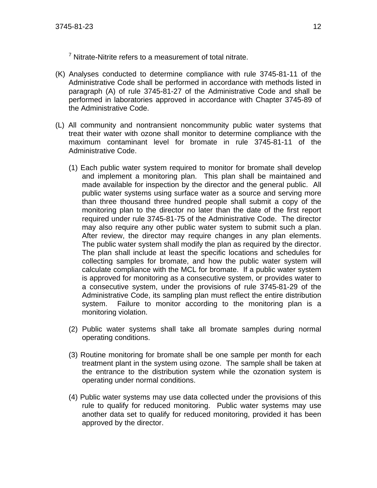$7$  Nitrate-Nitrite refers to a measurement of total nitrate.

- (K) Analyses conducted to determine compliance with rule 3745-81-11 of the Administrative Code shall be performed in accordance with methods listed in paragraph (A) of rule 3745-81-27 of the Administrative Code and shall be performed in laboratories approved in accordance with Chapter 3745-89 of the Administrative Code.
- (L) All community and nontransient noncommunity public water systems that treat their water with ozone shall monitor to determine compliance with the maximum contaminant level for bromate in rule 3745-81-11 of the Administrative Code.
	- (1) Each public water system required to monitor for bromate shall develop and implement a monitoring plan. This plan shall be maintained and made available for inspection by the director and the general public. All public water systems using surface water as a source and serving more than three thousand three hundred people shall submit a copy of the monitoring plan to the director no later than the date of the first report required under rule 3745-81-75 of the Administrative Code. The director may also require any other public water system to submit such a plan. After review, the director may require changes in any plan elements. The public water system shall modify the plan as required by the director. The plan shall include at least the specific locations and schedules for collecting samples for bromate, and how the public water system will calculate compliance with the MCL for bromate. If a public water system is approved for monitoring as a consecutive system, or provides water to a consecutive system, under the provisions of rule 3745-81-29 of the Administrative Code, its sampling plan must reflect the entire distribution system. Failure to monitor according to the monitoring plan is a monitoring violation.
	- (2) Public water systems shall take all bromate samples during normal operating conditions.
	- (3) Routine monitoring for bromate shall be one sample per month for each treatment plant in the system using ozone. The sample shall be taken at the entrance to the distribution system while the ozonation system is operating under normal conditions.
	- (4) Public water systems may use data collected under the provisions of this rule to qualify for reduced monitoring. Public water systems may use another data set to qualify for reduced monitoring, provided it has been approved by the director.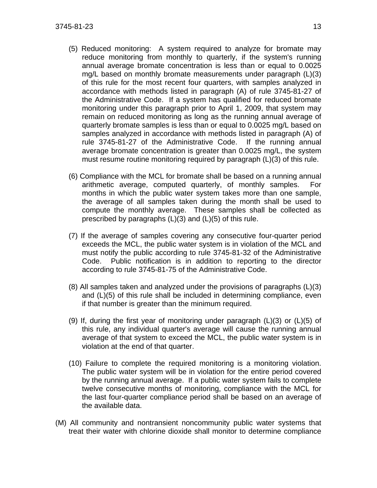- (5) Reduced monitoring: A system required to analyze for bromate may reduce monitoring from monthly to quarterly, if the system's running annual average bromate concentration is less than or equal to 0.0025 mg/L based on monthly bromate measurements under paragraph (L)(3) of this rule for the most recent four quarters, with samples analyzed in accordance with methods listed in paragraph (A) of rule 3745-81-27 of the Administrative Code. If a system has qualified for reduced bromate monitoring under this paragraph prior to April 1, 2009, that system may remain on reduced monitoring as long as the running annual average of quarterly bromate samples is less than or equal to 0.0025 mg/L based on samples analyzed in accordance with methods listed in paragraph (A) of rule 3745-81-27 of the Administrative Code. If the running annual average bromate concentration is greater than 0.0025 mg/L, the system must resume routine monitoring required by paragraph (L)(3) of this rule.
- (6) Compliance with the MCL for bromate shall be based on a running annual arithmetic average, computed quarterly, of monthly samples. For months in which the public water system takes more than one sample, the average of all samples taken during the month shall be used to compute the monthly average. These samples shall be collected as prescribed by paragraphs (L)(3) and (L)(5) of this rule.
- (7) If the average of samples covering any consecutive four-quarter period exceeds the MCL, the public water system is in violation of the MCL and must notify the public according to rule 3745-81-32 of the Administrative Code. Public notification is in addition to reporting to the director according to rule 3745-81-75 of the Administrative Code.
- (8) All samples taken and analyzed under the provisions of paragraphs (L)(3) and (L)(5) of this rule shall be included in determining compliance, even if that number is greater than the minimum required.
- (9) If, during the first year of monitoring under paragraph  $(L)(3)$  or  $(L)(5)$  of this rule, any individual quarter's average will cause the running annual average of that system to exceed the MCL, the public water system is in violation at the end of that quarter.
- (10) Failure to complete the required monitoring is a monitoring violation. The public water system will be in violation for the entire period covered by the running annual average. If a public water system fails to complete twelve consecutive months of monitoring, compliance with the MCL for the last four-quarter compliance period shall be based on an average of the available data.
- (M) All community and nontransient noncommunity public water systems that treat their water with chlorine dioxide shall monitor to determine compliance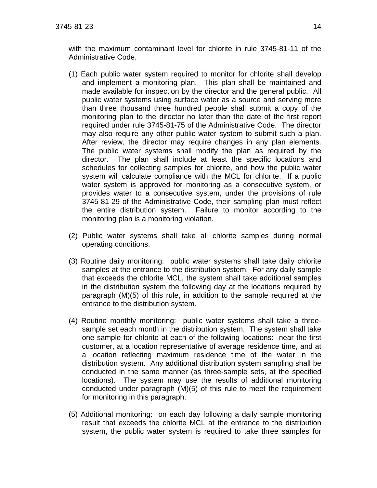with the maximum contaminant level for chlorite in rule 3745-81-11 of the Administrative Code.

- (1) Each public water system required to monitor for chlorite shall develop and implement a monitoring plan. This plan shall be maintained and made available for inspection by the director and the general public. All public water systems using surface water as a source and serving more than three thousand three hundred people shall submit a copy of the monitoring plan to the director no later than the date of the first report required under rule 3745-81-75 of the Administrative Code. The director may also require any other public water system to submit such a plan. After review, the director may require changes in any plan elements. The public water systems shall modify the plan as required by the director. The plan shall include at least the specific locations and schedules for collecting samples for chlorite, and how the public water system will calculate compliance with the MCL for chlorite. If a public water system is approved for monitoring as a consecutive system, or provides water to a consecutive system, under the provisions of rule 3745-81-29 of the Administrative Code, their sampling plan must reflect the entire distribution system. Failure to monitor according to the monitoring plan is a monitoring violation.
- (2) Public water systems shall take all chlorite samples during normal operating conditions.
- (3) Routine daily monitoring: public water systems shall take daily chlorite samples at the entrance to the distribution system. For any daily sample that exceeds the chlorite MCL, the system shall take additional samples in the distribution system the following day at the locations required by paragraph (M)(5) of this rule, in addition to the sample required at the entrance to the distribution system.
- (4) Routine monthly monitoring: public water systems shall take a threesample set each month in the distribution system. The system shall take one sample for chlorite at each of the following locations: near the first customer, at a location representative of average residence time, and at a location reflecting maximum residence time of the water in the distribution system. Any additional distribution system sampling shall be conducted in the same manner (as three-sample sets, at the specified locations). The system may use the results of additional monitoring conducted under paragraph (M)(5) of this rule to meet the requirement for monitoring in this paragraph.
- (5) Additional monitoring: on each day following a daily sample monitoring result that exceeds the chlorite MCL at the entrance to the distribution system, the public water system is required to take three samples for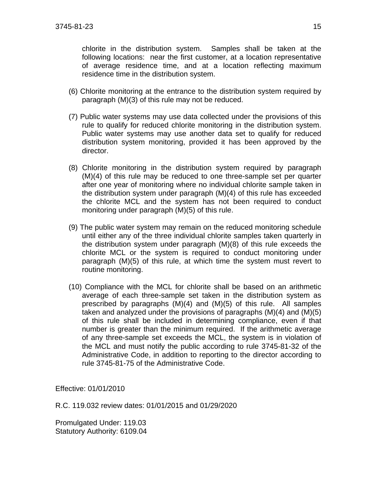chlorite in the distribution system. Samples shall be taken at the following locations: near the first customer, at a location representative of average residence time, and at a location reflecting maximum residence time in the distribution system.

- (6) Chlorite monitoring at the entrance to the distribution system required by paragraph (M)(3) of this rule may not be reduced.
- (7) Public water systems may use data collected under the provisions of this rule to qualify for reduced chlorite monitoring in the distribution system. Public water systems may use another data set to qualify for reduced distribution system monitoring, provided it has been approved by the director.
- (8) Chlorite monitoring in the distribution system required by paragraph (M)(4) of this rule may be reduced to one three-sample set per quarter after one year of monitoring where no individual chlorite sample taken in the distribution system under paragraph (M)(4) of this rule has exceeded the chlorite MCL and the system has not been required to conduct monitoring under paragraph (M)(5) of this rule.
- (9) The public water system may remain on the reduced monitoring schedule until either any of the three individual chlorite samples taken quarterly in the distribution system under paragraph (M)(8) of this rule exceeds the chlorite MCL or the system is required to conduct monitoring under paragraph (M)(5) of this rule, at which time the system must revert to routine monitoring.
- (10) Compliance with the MCL for chlorite shall be based on an arithmetic average of each three-sample set taken in the distribution system as prescribed by paragraphs  $(M)(4)$  and  $(M)(5)$  of this rule. All samples taken and analyzed under the provisions of paragraphs (M)(4) and (M)(5) of this rule shall be included in determining compliance, even if that number is greater than the minimum required. If the arithmetic average of any three-sample set exceeds the MCL, the system is in violation of the MCL and must notify the public according to rule 3745-81-32 of the Administrative Code, in addition to reporting to the director according to rule 3745-81-75 of the Administrative Code.

Effective: 01/01/2010

R.C. 119.032 review dates: 01/01/2015 and 01/29/2020

Promulgated Under: 119.03 Statutory Authority: 6109.04